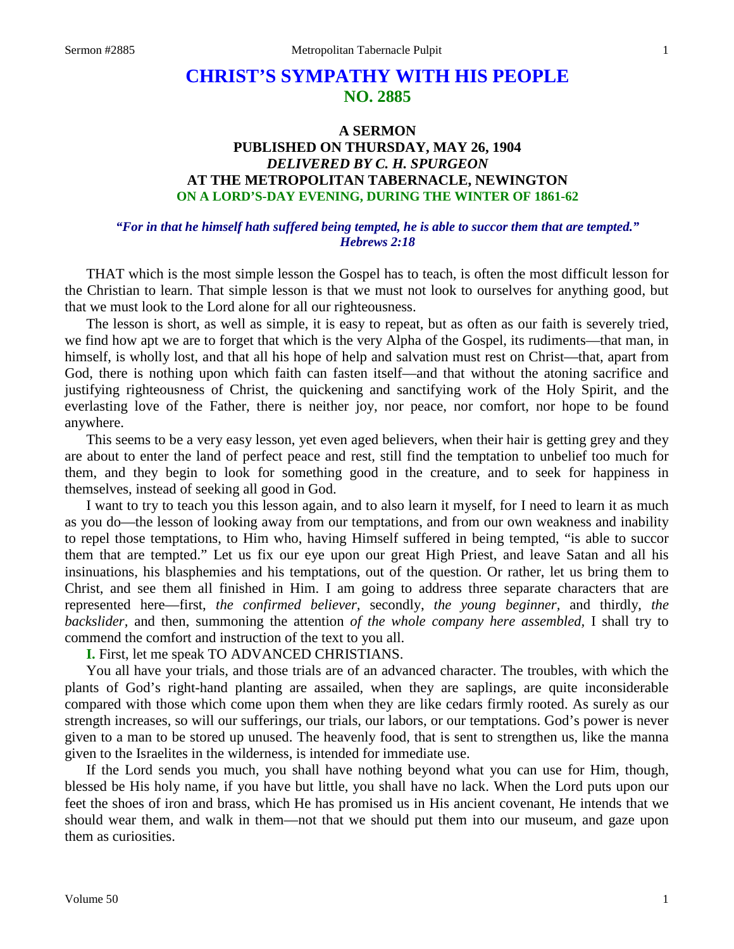# **CHRIST'S SYMPATHY WITH HIS PEOPLE NO. 2885**

## **A SERMON PUBLISHED ON THURSDAY, MAY 26, 1904** *DELIVERED BY C. H. SPURGEON* **AT THE METROPOLITAN TABERNACLE, NEWINGTON ON A LORD'S-DAY EVENING, DURING THE WINTER OF 1861-62**

### *"For in that he himself hath suffered being tempted, he is able to succor them that are tempted." Hebrews 2:18*

THAT which is the most simple lesson the Gospel has to teach, is often the most difficult lesson for the Christian to learn. That simple lesson is that we must not look to ourselves for anything good, but that we must look to the Lord alone for all our righteousness.

The lesson is short, as well as simple, it is easy to repeat, but as often as our faith is severely tried, we find how apt we are to forget that which is the very Alpha of the Gospel, its rudiments—that man, in himself, is wholly lost, and that all his hope of help and salvation must rest on Christ—that, apart from God, there is nothing upon which faith can fasten itself—and that without the atoning sacrifice and justifying righteousness of Christ, the quickening and sanctifying work of the Holy Spirit, and the everlasting love of the Father, there is neither joy, nor peace, nor comfort, nor hope to be found anywhere.

This seems to be a very easy lesson, yet even aged believers, when their hair is getting grey and they are about to enter the land of perfect peace and rest, still find the temptation to unbelief too much for them, and they begin to look for something good in the creature, and to seek for happiness in themselves, instead of seeking all good in God.

I want to try to teach you this lesson again, and to also learn it myself, for I need to learn it as much as you do—the lesson of looking away from our temptations, and from our own weakness and inability to repel those temptations, to Him who, having Himself suffered in being tempted, "is able to succor them that are tempted." Let us fix our eye upon our great High Priest, and leave Satan and all his insinuations, his blasphemies and his temptations, out of the question. Or rather, let us bring them to Christ, and see them all finished in Him. I am going to address three separate characters that are represented here—first, *the confirmed believer,* secondly, *the young beginner,* and thirdly, *the backslider,* and then, summoning the attention *of the whole company here assembled,* I shall try to commend the comfort and instruction of the text to you all.

**I.** First, let me speak TO ADVANCED CHRISTIANS.

You all have your trials, and those trials are of an advanced character. The troubles, with which the plants of God's right-hand planting are assailed, when they are saplings, are quite inconsiderable compared with those which come upon them when they are like cedars firmly rooted. As surely as our strength increases, so will our sufferings, our trials, our labors, or our temptations. God's power is never given to a man to be stored up unused. The heavenly food, that is sent to strengthen us, like the manna given to the Israelites in the wilderness, is intended for immediate use.

If the Lord sends you much, you shall have nothing beyond what you can use for Him, though, blessed be His holy name, if you have but little, you shall have no lack. When the Lord puts upon our feet the shoes of iron and brass, which He has promised us in His ancient covenant, He intends that we should wear them, and walk in them—not that we should put them into our museum, and gaze upon them as curiosities.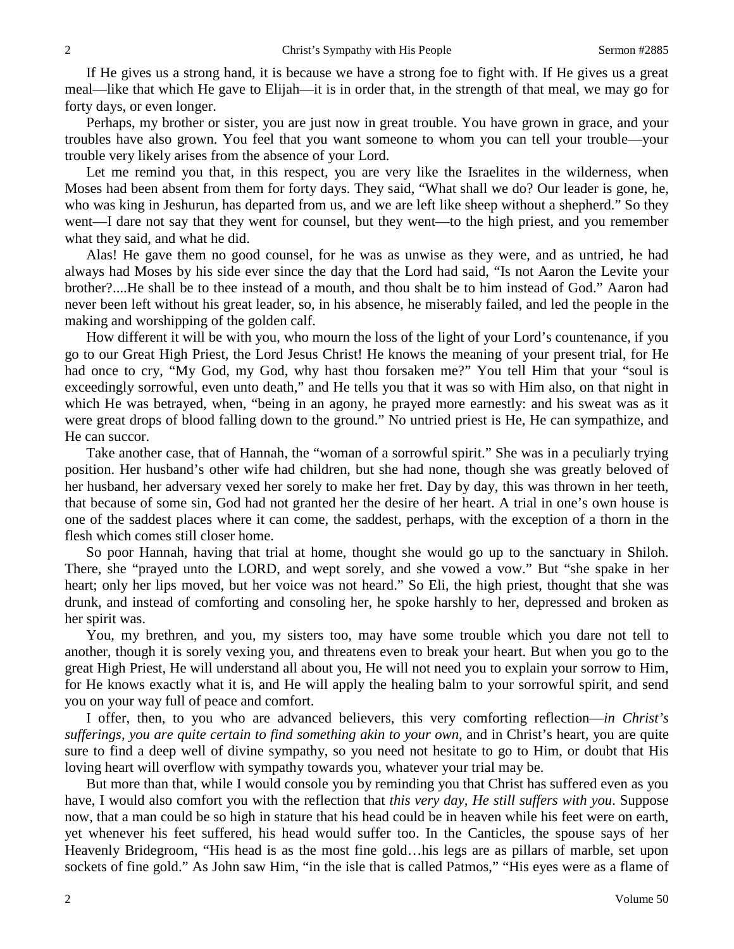If He gives us a strong hand, it is because we have a strong foe to fight with. If He gives us a great meal—like that which He gave to Elijah—it is in order that, in the strength of that meal, we may go for forty days, or even longer.

Perhaps, my brother or sister, you are just now in great trouble. You have grown in grace, and your troubles have also grown. You feel that you want someone to whom you can tell your trouble—your trouble very likely arises from the absence of your Lord.

Let me remind you that, in this respect, you are very like the Israelites in the wilderness, when Moses had been absent from them for forty days. They said, "What shall we do? Our leader is gone, he, who was king in Jeshurun, has departed from us, and we are left like sheep without a shepherd." So they went—I dare not say that they went for counsel, but they went—to the high priest, and you remember what they said, and what he did.

Alas! He gave them no good counsel, for he was as unwise as they were, and as untried, he had always had Moses by his side ever since the day that the Lord had said, "Is not Aaron the Levite your brother?....He shall be to thee instead of a mouth, and thou shalt be to him instead of God." Aaron had never been left without his great leader, so, in his absence, he miserably failed, and led the people in the making and worshipping of the golden calf.

How different it will be with you, who mourn the loss of the light of your Lord's countenance, if you go to our Great High Priest, the Lord Jesus Christ! He knows the meaning of your present trial, for He had once to cry, "My God, my God, why hast thou forsaken me?" You tell Him that your "soul is exceedingly sorrowful, even unto death," and He tells you that it was so with Him also, on that night in which He was betrayed, when, "being in an agony, he prayed more earnestly: and his sweat was as it were great drops of blood falling down to the ground." No untried priest is He, He can sympathize, and He can succor.

Take another case, that of Hannah, the "woman of a sorrowful spirit." She was in a peculiarly trying position. Her husband's other wife had children, but she had none, though she was greatly beloved of her husband, her adversary vexed her sorely to make her fret. Day by day, this was thrown in her teeth, that because of some sin, God had not granted her the desire of her heart. A trial in one's own house is one of the saddest places where it can come, the saddest, perhaps, with the exception of a thorn in the flesh which comes still closer home.

So poor Hannah, having that trial at home, thought she would go up to the sanctuary in Shiloh. There, she "prayed unto the LORD, and wept sorely, and she vowed a vow." But "she spake in her heart; only her lips moved, but her voice was not heard." So Eli, the high priest, thought that she was drunk, and instead of comforting and consoling her, he spoke harshly to her, depressed and broken as her spirit was.

You, my brethren, and you, my sisters too, may have some trouble which you dare not tell to another, though it is sorely vexing you, and threatens even to break your heart. But when you go to the great High Priest, He will understand all about you, He will not need you to explain your sorrow to Him, for He knows exactly what it is, and He will apply the healing balm to your sorrowful spirit, and send you on your way full of peace and comfort.

I offer, then, to you who are advanced believers, this very comforting reflection—*in Christ's sufferings, you are quite certain to find something akin to your own,* and in Christ's heart, you are quite sure to find a deep well of divine sympathy, so you need not hesitate to go to Him, or doubt that His loving heart will overflow with sympathy towards you, whatever your trial may be.

But more than that, while I would console you by reminding you that Christ has suffered even as you have, I would also comfort you with the reflection that *this very day, He still suffers with you*. Suppose now, that a man could be so high in stature that his head could be in heaven while his feet were on earth, yet whenever his feet suffered, his head would suffer too. In the Canticles, the spouse says of her Heavenly Bridegroom, "His head is as the most fine gold…his legs are as pillars of marble, set upon sockets of fine gold." As John saw Him, "in the isle that is called Patmos," "His eyes were as a flame of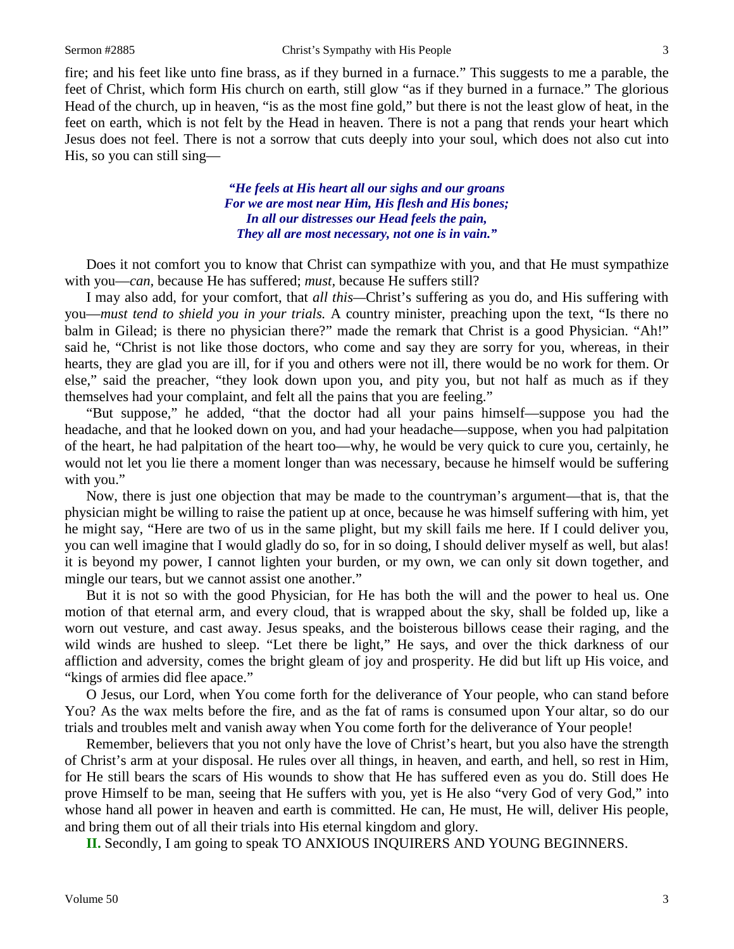fire; and his feet like unto fine brass, as if they burned in a furnace." This suggests to me a parable, the feet of Christ, which form His church on earth, still glow "as if they burned in a furnace." The glorious Head of the church, up in heaven, "is as the most fine gold," but there is not the least glow of heat, in the feet on earth, which is not felt by the Head in heaven. There is not a pang that rends your heart which Jesus does not feel. There is not a sorrow that cuts deeply into your soul, which does not also cut into His, so you can still sing—

> *"He feels at His heart all our sighs and our groans For we are most near Him, His flesh and His bones; In all our distresses our Head feels the pain, They all are most necessary, not one is in vain."*

Does it not comfort you to know that Christ can sympathize with you, and that He must sympathize with you—*can,* because He has suffered; *must,* because He suffers still?

I may also add, for your comfort, that *all this—*Christ's suffering as you do, and His suffering with you—*must tend to shield you in your trials.* A country minister, preaching upon the text, "Is there no balm in Gilead; is there no physician there?" made the remark that Christ is a good Physician. "Ah!" said he, "Christ is not like those doctors, who come and say they are sorry for you, whereas, in their hearts, they are glad you are ill, for if you and others were not ill, there would be no work for them. Or else," said the preacher, "they look down upon you, and pity you, but not half as much as if they themselves had your complaint, and felt all the pains that you are feeling."

"But suppose," he added, "that the doctor had all your pains himself—suppose you had the headache, and that he looked down on you, and had your headache—suppose, when you had palpitation of the heart, he had palpitation of the heart too—why, he would be very quick to cure you, certainly, he would not let you lie there a moment longer than was necessary, because he himself would be suffering with you."

Now, there is just one objection that may be made to the countryman's argument—that is, that the physician might be willing to raise the patient up at once, because he was himself suffering with him, yet he might say, "Here are two of us in the same plight, but my skill fails me here. If I could deliver you, you can well imagine that I would gladly do so, for in so doing, I should deliver myself as well, but alas! it is beyond my power, I cannot lighten your burden, or my own, we can only sit down together, and mingle our tears, but we cannot assist one another."

But it is not so with the good Physician, for He has both the will and the power to heal us. One motion of that eternal arm, and every cloud, that is wrapped about the sky, shall be folded up, like a worn out vesture, and cast away. Jesus speaks, and the boisterous billows cease their raging, and the wild winds are hushed to sleep. "Let there be light," He says, and over the thick darkness of our affliction and adversity, comes the bright gleam of joy and prosperity. He did but lift up His voice, and "kings of armies did flee apace."

O Jesus, our Lord, when You come forth for the deliverance of Your people, who can stand before You? As the wax melts before the fire, and as the fat of rams is consumed upon Your altar, so do our trials and troubles melt and vanish away when You come forth for the deliverance of Your people!

Remember, believers that you not only have the love of Christ's heart, but you also have the strength of Christ's arm at your disposal. He rules over all things, in heaven, and earth, and hell, so rest in Him, for He still bears the scars of His wounds to show that He has suffered even as you do. Still does He prove Himself to be man, seeing that He suffers with you, yet is He also "very God of very God," into whose hand all power in heaven and earth is committed. He can, He must, He will, deliver His people, and bring them out of all their trials into His eternal kingdom and glory.

**II.** Secondly, I am going to speak TO ANXIOUS INQUIRERS AND YOUNG BEGINNERS.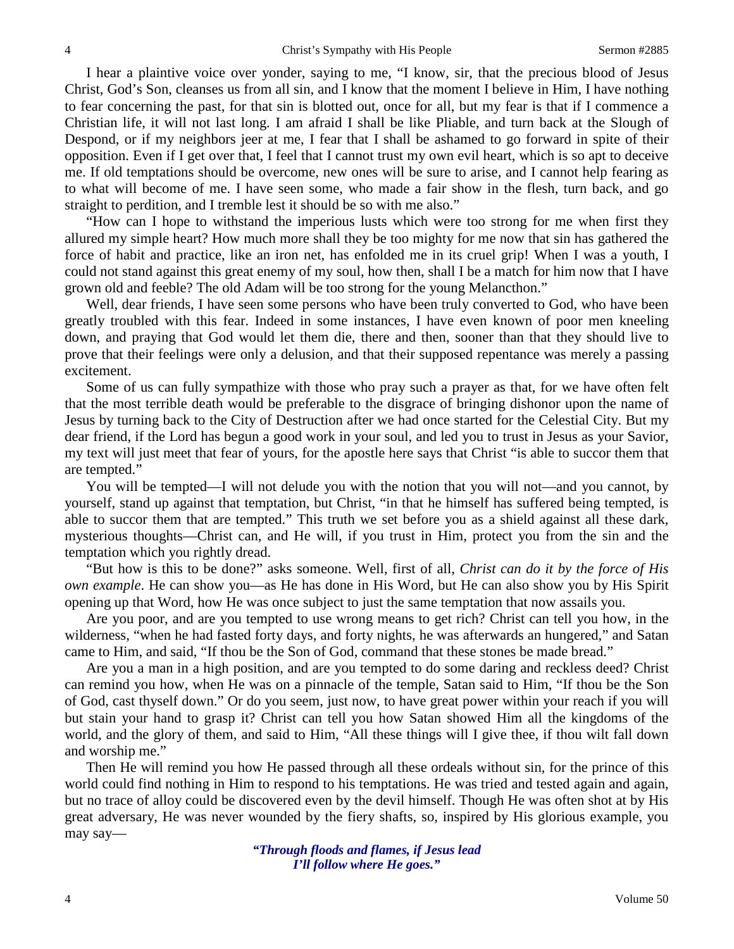I hear a plaintive voice over yonder, saying to me, "I know, sir, that the precious blood of Jesus Christ, God's Son, cleanses us from all sin, and I know that the moment I believe in Him, I have nothing to fear concerning the past, for that sin is blotted out, once for all, but my fear is that if I commence a Christian life, it will not last long. I am afraid I shall be like Pliable, and turn back at the Slough of Despond, or if my neighbors jeer at me, I fear that I shall be ashamed to go forward in spite of their opposition. Even if I get over that, I feel that I cannot trust my own evil heart, which is so apt to deceive me. If old temptations should be overcome, new ones will be sure to arise, and I cannot help fearing as to what will become of me. I have seen some, who made a fair show in the flesh, turn back, and go straight to perdition, and I tremble lest it should be so with me also."

"How can I hope to withstand the imperious lusts which were too strong for me when first they allured my simple heart? How much more shall they be too mighty for me now that sin has gathered the force of habit and practice, like an iron net, has enfolded me in its cruel grip! When I was a youth, I could not stand against this great enemy of my soul, how then, shall I be a match for him now that I have grown old and feeble? The old Adam will be too strong for the young Melancthon."

Well, dear friends, I have seen some persons who have been truly converted to God, who have been greatly troubled with this fear. Indeed in some instances, I have even known of poor men kneeling down, and praying that God would let them die, there and then, sooner than that they should live to prove that their feelings were only a delusion, and that their supposed repentance was merely a passing excitement.

Some of us can fully sympathize with those who pray such a prayer as that, for we have often felt that the most terrible death would be preferable to the disgrace of bringing dishonor upon the name of Jesus by turning back to the City of Destruction after we had once started for the Celestial City. But my dear friend, if the Lord has begun a good work in your soul, and led you to trust in Jesus as your Savior, my text will just meet that fear of yours, for the apostle here says that Christ "is able to succor them that are tempted."

You will be tempted—I will not delude you with the notion that you will not—and you cannot, by yourself, stand up against that temptation, but Christ, "in that he himself has suffered being tempted, is able to succor them that are tempted." This truth we set before you as a shield against all these dark, mysterious thoughts—Christ can, and He will, if you trust in Him, protect you from the sin and the temptation which you rightly dread.

"But how is this to be done?" asks someone. Well, first of all, *Christ can do it by the force of His own example*. He can show you—as He has done in His Word, but He can also show you by His Spirit opening up that Word, how He was once subject to just the same temptation that now assails you.

Are you poor, and are you tempted to use wrong means to get rich? Christ can tell you how, in the wilderness, "when he had fasted forty days, and forty nights, he was afterwards an hungered," and Satan came to Him, and said, "If thou be the Son of God, command that these stones be made bread."

Are you a man in a high position, and are you tempted to do some daring and reckless deed? Christ can remind you how, when He was on a pinnacle of the temple, Satan said to Him, "If thou be the Son of God, cast thyself down." Or do you seem, just now, to have great power within your reach if you will but stain your hand to grasp it? Christ can tell you how Satan showed Him all the kingdoms of the world, and the glory of them, and said to Him, "All these things will I give thee, if thou wilt fall down and worship me."

Then He will remind you how He passed through all these ordeals without sin, for the prince of this world could find nothing in Him to respond to his temptations. He was tried and tested again and again, but no trace of alloy could be discovered even by the devil himself. Though He was often shot at by His great adversary, He was never wounded by the fiery shafts, so, inspired by His glorious example, you may say—

> *"Through floods and flames, if Jesus lead I'll follow where He goes."*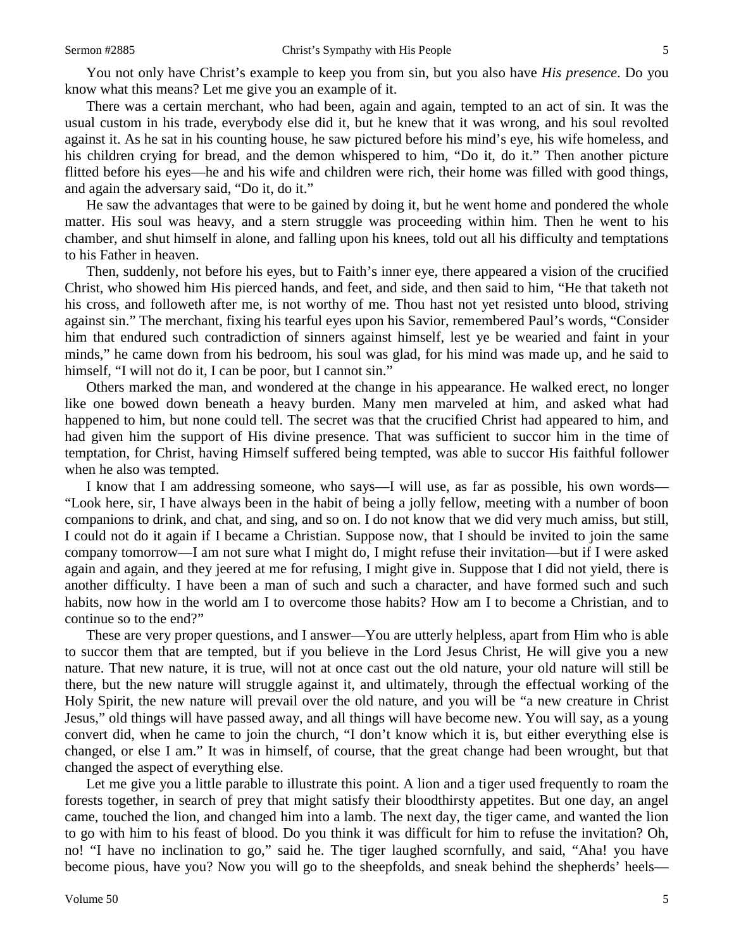You not only have Christ's example to keep you from sin, but you also have *His presence*. Do you know what this means? Let me give you an example of it.

There was a certain merchant, who had been, again and again, tempted to an act of sin. It was the usual custom in his trade, everybody else did it, but he knew that it was wrong, and his soul revolted against it. As he sat in his counting house, he saw pictured before his mind's eye, his wife homeless, and his children crying for bread, and the demon whispered to him, "Do it, do it." Then another picture flitted before his eyes—he and his wife and children were rich, their home was filled with good things, and again the adversary said, "Do it, do it."

He saw the advantages that were to be gained by doing it, but he went home and pondered the whole matter. His soul was heavy, and a stern struggle was proceeding within him. Then he went to his chamber, and shut himself in alone, and falling upon his knees, told out all his difficulty and temptations to his Father in heaven.

Then, suddenly, not before his eyes, but to Faith's inner eye, there appeared a vision of the crucified Christ, who showed him His pierced hands, and feet, and side, and then said to him, "He that taketh not his cross, and followeth after me, is not worthy of me. Thou hast not yet resisted unto blood, striving against sin." The merchant, fixing his tearful eyes upon his Savior, remembered Paul's words, "Consider him that endured such contradiction of sinners against himself, lest ye be wearied and faint in your minds," he came down from his bedroom, his soul was glad, for his mind was made up, and he said to himself, "I will not do it, I can be poor, but I cannot sin."

Others marked the man, and wondered at the change in his appearance. He walked erect, no longer like one bowed down beneath a heavy burden. Many men marveled at him, and asked what had happened to him, but none could tell. The secret was that the crucified Christ had appeared to him, and had given him the support of His divine presence. That was sufficient to succor him in the time of temptation, for Christ, having Himself suffered being tempted, was able to succor His faithful follower when he also was tempted.

I know that I am addressing someone, who says—I will use, as far as possible, his own words— "Look here, sir, I have always been in the habit of being a jolly fellow, meeting with a number of boon companions to drink, and chat, and sing, and so on. I do not know that we did very much amiss, but still, I could not do it again if I became a Christian. Suppose now, that I should be invited to join the same company tomorrow—I am not sure what I might do, I might refuse their invitation—but if I were asked again and again, and they jeered at me for refusing, I might give in. Suppose that I did not yield, there is another difficulty. I have been a man of such and such a character, and have formed such and such habits, now how in the world am I to overcome those habits? How am I to become a Christian, and to continue so to the end?"

These are very proper questions, and I answer—You are utterly helpless, apart from Him who is able to succor them that are tempted, but if you believe in the Lord Jesus Christ, He will give you a new nature. That new nature, it is true, will not at once cast out the old nature, your old nature will still be there, but the new nature will struggle against it, and ultimately, through the effectual working of the Holy Spirit, the new nature will prevail over the old nature, and you will be "a new creature in Christ Jesus," old things will have passed away, and all things will have become new. You will say, as a young convert did, when he came to join the church, "I don't know which it is, but either everything else is changed, or else I am." It was in himself, of course, that the great change had been wrought, but that changed the aspect of everything else.

Let me give you a little parable to illustrate this point. A lion and a tiger used frequently to roam the forests together, in search of prey that might satisfy their bloodthirsty appetites. But one day, an angel came, touched the lion, and changed him into a lamb. The next day, the tiger came, and wanted the lion to go with him to his feast of blood. Do you think it was difficult for him to refuse the invitation? Oh, no! "I have no inclination to go," said he. The tiger laughed scornfully, and said, "Aha! you have become pious, have you? Now you will go to the sheepfolds, and sneak behind the shepherds' heels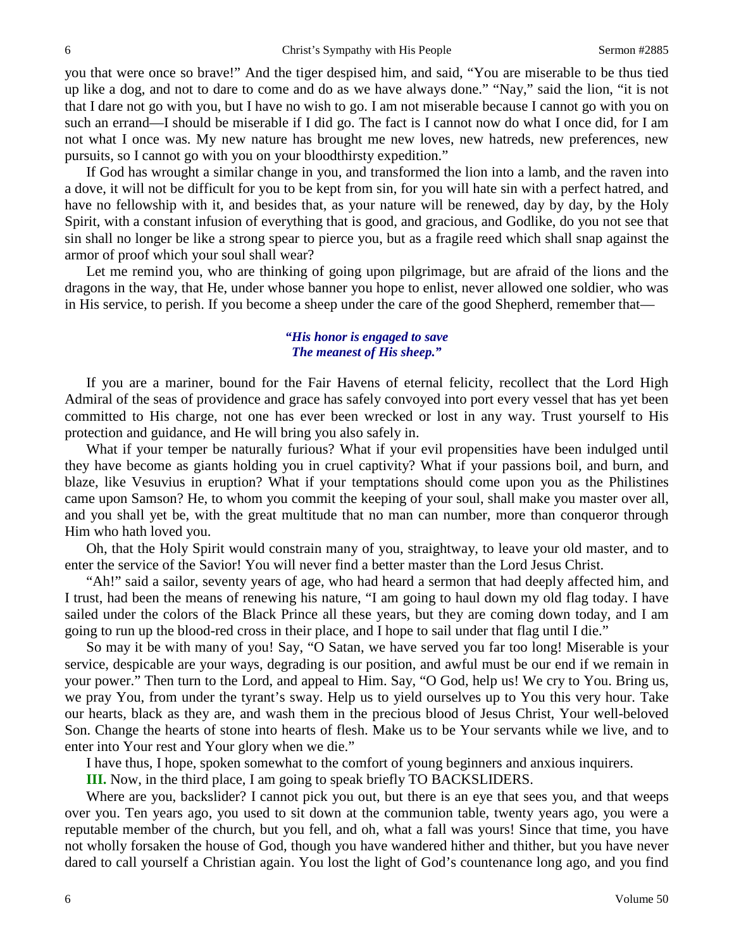you that were once so brave!" And the tiger despised him, and said, "You are miserable to be thus tied up like a dog, and not to dare to come and do as we have always done." "Nay," said the lion, "it is not that I dare not go with you, but I have no wish to go. I am not miserable because I cannot go with you on such an errand—I should be miserable if I did go. The fact is I cannot now do what I once did, for I am not what I once was. My new nature has brought me new loves, new hatreds, new preferences, new pursuits, so I cannot go with you on your bloodthirsty expedition."

If God has wrought a similar change in you, and transformed the lion into a lamb, and the raven into a dove, it will not be difficult for you to be kept from sin, for you will hate sin with a perfect hatred, and have no fellowship with it, and besides that, as your nature will be renewed, day by day, by the Holy Spirit, with a constant infusion of everything that is good, and gracious, and Godlike, do you not see that sin shall no longer be like a strong spear to pierce you, but as a fragile reed which shall snap against the armor of proof which your soul shall wear?

Let me remind you, who are thinking of going upon pilgrimage, but are afraid of the lions and the dragons in the way, that He, under whose banner you hope to enlist, never allowed one soldier, who was in His service, to perish. If you become a sheep under the care of the good Shepherd, remember that—

## *"His honor is engaged to save The meanest of His sheep."*

If you are a mariner, bound for the Fair Havens of eternal felicity, recollect that the Lord High Admiral of the seas of providence and grace has safely convoyed into port every vessel that has yet been committed to His charge, not one has ever been wrecked or lost in any way. Trust yourself to His protection and guidance, and He will bring you also safely in.

What if your temper be naturally furious? What if your evil propensities have been indulged until they have become as giants holding you in cruel captivity? What if your passions boil, and burn, and blaze, like Vesuvius in eruption? What if your temptations should come upon you as the Philistines came upon Samson? He, to whom you commit the keeping of your soul, shall make you master over all, and you shall yet be, with the great multitude that no man can number, more than conqueror through Him who hath loved you.

Oh, that the Holy Spirit would constrain many of you, straightway, to leave your old master, and to enter the service of the Savior! You will never find a better master than the Lord Jesus Christ.

"Ah!" said a sailor, seventy years of age, who had heard a sermon that had deeply affected him, and I trust, had been the means of renewing his nature, "I am going to haul down my old flag today. I have sailed under the colors of the Black Prince all these years, but they are coming down today, and I am going to run up the blood-red cross in their place, and I hope to sail under that flag until I die."

So may it be with many of you! Say, "O Satan, we have served you far too long! Miserable is your service, despicable are your ways, degrading is our position, and awful must be our end if we remain in your power." Then turn to the Lord, and appeal to Him. Say, "O God, help us! We cry to You. Bring us, we pray You, from under the tyrant's sway. Help us to yield ourselves up to You this very hour. Take our hearts, black as they are, and wash them in the precious blood of Jesus Christ, Your well-beloved Son. Change the hearts of stone into hearts of flesh. Make us to be Your servants while we live, and to enter into Your rest and Your glory when we die."

I have thus, I hope, spoken somewhat to the comfort of young beginners and anxious inquirers.

**III.** Now, in the third place, I am going to speak briefly TO BACKSLIDERS.

Where are you, backslider? I cannot pick you out, but there is an eye that sees you, and that weeps over you. Ten years ago, you used to sit down at the communion table, twenty years ago, you were a reputable member of the church, but you fell, and oh, what a fall was yours! Since that time, you have not wholly forsaken the house of God, though you have wandered hither and thither, but you have never dared to call yourself a Christian again. You lost the light of God's countenance long ago, and you find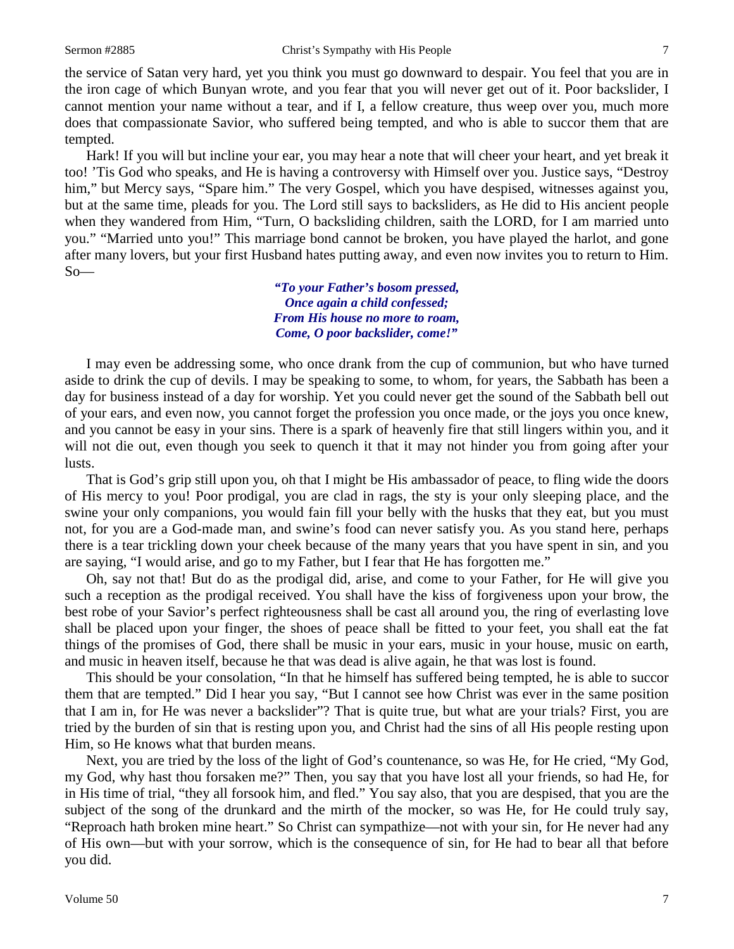the service of Satan very hard, yet you think you must go downward to despair. You feel that you are in the iron cage of which Bunyan wrote, and you fear that you will never get out of it. Poor backslider, I cannot mention your name without a tear, and if I, a fellow creature, thus weep over you, much more does that compassionate Savior, who suffered being tempted, and who is able to succor them that are tempted.

Hark! If you will but incline your ear, you may hear a note that will cheer your heart, and yet break it too! 'Tis God who speaks, and He is having a controversy with Himself over you. Justice says, "Destroy him," but Mercy says, "Spare him." The very Gospel, which you have despised, witnesses against you, but at the same time, pleads for you. The Lord still says to backsliders, as He did to His ancient people when they wandered from Him, "Turn, O backsliding children, saith the LORD, for I am married unto you." "Married unto you!" This marriage bond cannot be broken, you have played the harlot, and gone after many lovers, but your first Husband hates putting away, and even now invites you to return to Him.  $So$ —

> *"To your Father's bosom pressed, Once again a child confessed; From His house no more to roam, Come, O poor backslider, come!"*

I may even be addressing some, who once drank from the cup of communion, but who have turned aside to drink the cup of devils. I may be speaking to some, to whom, for years, the Sabbath has been a day for business instead of a day for worship. Yet you could never get the sound of the Sabbath bell out of your ears, and even now, you cannot forget the profession you once made, or the joys you once knew, and you cannot be easy in your sins. There is a spark of heavenly fire that still lingers within you, and it will not die out, even though you seek to quench it that it may not hinder you from going after your lusts.

That is God's grip still upon you, oh that I might be His ambassador of peace, to fling wide the doors of His mercy to you! Poor prodigal, you are clad in rags, the sty is your only sleeping place, and the swine your only companions, you would fain fill your belly with the husks that they eat, but you must not, for you are a God-made man, and swine's food can never satisfy you. As you stand here, perhaps there is a tear trickling down your cheek because of the many years that you have spent in sin, and you are saying, "I would arise, and go to my Father, but I fear that He has forgotten me."

Oh, say not that! But do as the prodigal did, arise, and come to your Father, for He will give you such a reception as the prodigal received. You shall have the kiss of forgiveness upon your brow, the best robe of your Savior's perfect righteousness shall be cast all around you, the ring of everlasting love shall be placed upon your finger, the shoes of peace shall be fitted to your feet, you shall eat the fat things of the promises of God, there shall be music in your ears, music in your house, music on earth, and music in heaven itself, because he that was dead is alive again, he that was lost is found.

This should be your consolation, "In that he himself has suffered being tempted, he is able to succor them that are tempted." Did I hear you say, "But I cannot see how Christ was ever in the same position that I am in, for He was never a backslider"? That is quite true, but what are your trials? First, you are tried by the burden of sin that is resting upon you, and Christ had the sins of all His people resting upon Him, so He knows what that burden means.

Next, you are tried by the loss of the light of God's countenance, so was He, for He cried, "My God, my God, why hast thou forsaken me?" Then, you say that you have lost all your friends, so had He, for in His time of trial, "they all forsook him, and fled." You say also, that you are despised, that you are the subject of the song of the drunkard and the mirth of the mocker, so was He, for He could truly say, "Reproach hath broken mine heart." So Christ can sympathize—not with your sin, for He never had any of His own—but with your sorrow, which is the consequence of sin, for He had to bear all that before you did.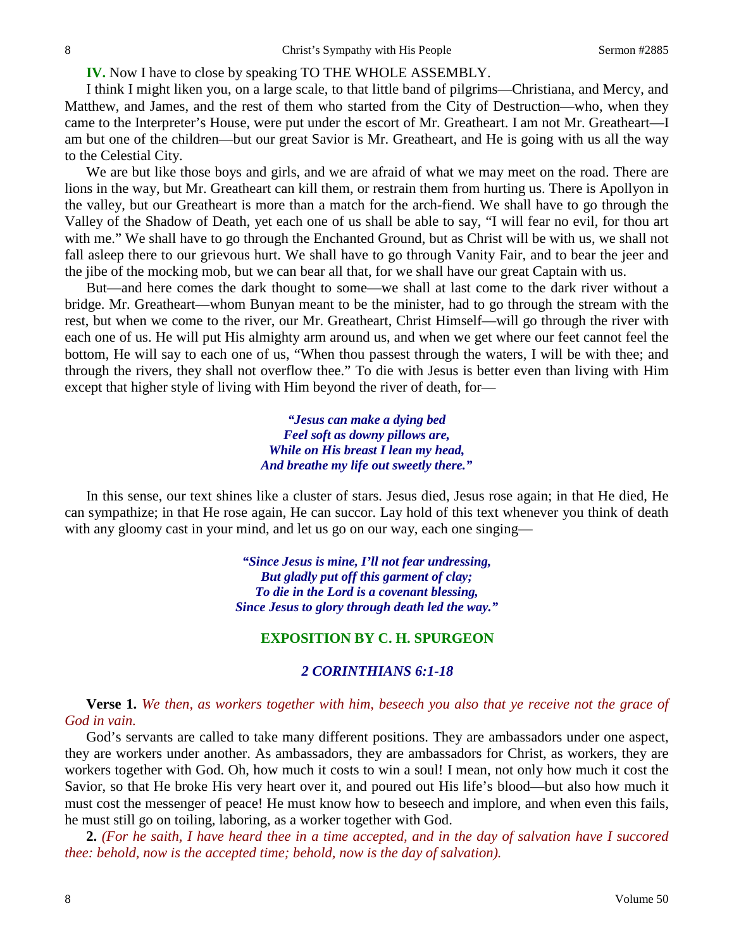**IV.** Now I have to close by speaking TO THE WHOLE ASSEMBLY.

I think I might liken you, on a large scale, to that little band of pilgrims—Christiana, and Mercy, and Matthew, and James, and the rest of them who started from the City of Destruction—who, when they came to the Interpreter's House, were put under the escort of Mr. Greatheart. I am not Mr. Greatheart—I am but one of the children—but our great Savior is Mr. Greatheart, and He is going with us all the way to the Celestial City.

We are but like those boys and girls, and we are afraid of what we may meet on the road. There are lions in the way, but Mr. Greatheart can kill them, or restrain them from hurting us. There is Apollyon in the valley, but our Greatheart is more than a match for the arch-fiend. We shall have to go through the Valley of the Shadow of Death, yet each one of us shall be able to say, "I will fear no evil, for thou art with me." We shall have to go through the Enchanted Ground, but as Christ will be with us, we shall not fall asleep there to our grievous hurt. We shall have to go through Vanity Fair, and to bear the jeer and the jibe of the mocking mob, but we can bear all that, for we shall have our great Captain with us.

But—and here comes the dark thought to some—we shall at last come to the dark river without a bridge. Mr. Greatheart—whom Bunyan meant to be the minister, had to go through the stream with the rest, but when we come to the river, our Mr. Greatheart, Christ Himself—will go through the river with each one of us. He will put His almighty arm around us, and when we get where our feet cannot feel the bottom, He will say to each one of us, "When thou passest through the waters, I will be with thee; and through the rivers, they shall not overflow thee." To die with Jesus is better even than living with Him except that higher style of living with Him beyond the river of death, for—

> *"Jesus can make a dying bed Feel soft as downy pillows are, While on His breast I lean my head, And breathe my life out sweetly there."*

In this sense, our text shines like a cluster of stars. Jesus died, Jesus rose again; in that He died, He can sympathize; in that He rose again, He can succor. Lay hold of this text whenever you think of death with any gloomy cast in your mind, and let us go on our way, each one singing—

> *"Since Jesus is mine, I'll not fear undressing, But gladly put off this garment of clay; To die in the Lord is a covenant blessing, Since Jesus to glory through death led the way."*

## **EXPOSITION BY C. H. SPURGEON**

## *2 CORINTHIANS 6:1-18*

**Verse 1.** *We then, as workers together with him, beseech you also that ye receive not the grace of God in vain.*

God's servants are called to take many different positions. They are ambassadors under one aspect, they are workers under another. As ambassadors, they are ambassadors for Christ, as workers, they are workers together with God. Oh, how much it costs to win a soul! I mean, not only how much it cost the Savior, so that He broke His very heart over it, and poured out His life's blood—but also how much it must cost the messenger of peace! He must know how to beseech and implore, and when even this fails, he must still go on toiling, laboring, as a worker together with God.

**2.** *(For he saith, I have heard thee in a time accepted, and in the day of salvation have I succored thee: behold, now is the accepted time; behold, now is the day of salvation).*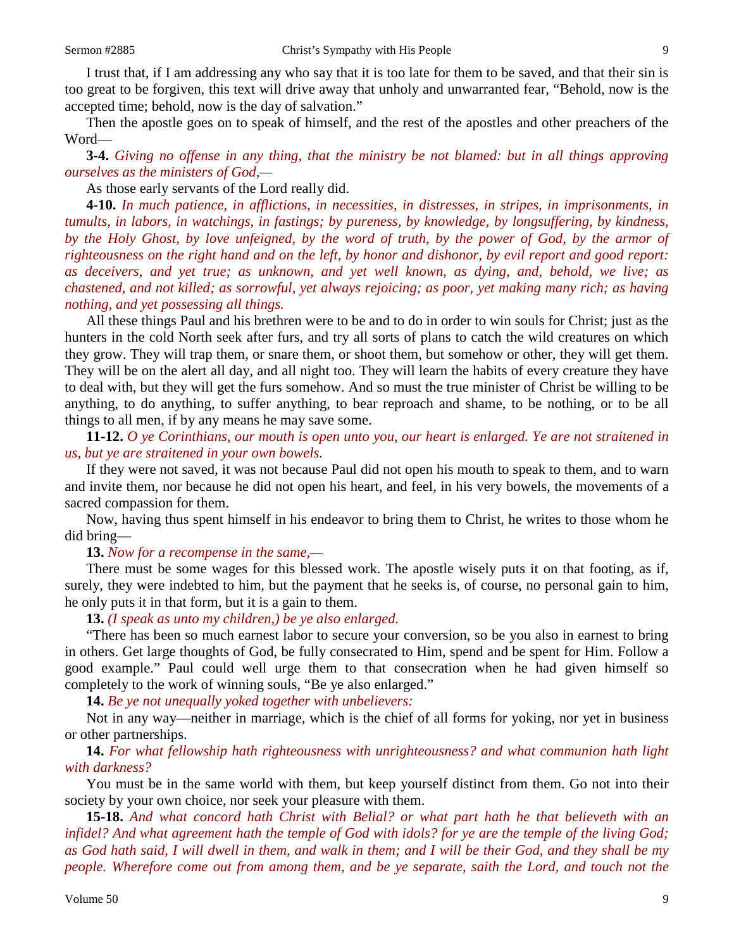I trust that, if I am addressing any who say that it is too late for them to be saved, and that their sin is too great to be forgiven, this text will drive away that unholy and unwarranted fear, "Behold, now is the accepted time; behold, now is the day of salvation."

Then the apostle goes on to speak of himself, and the rest of the apostles and other preachers of the Word—

**3-4.** *Giving no offense in any thing, that the ministry be not blamed: but in all things approving ourselves as the ministers of God,—*

As those early servants of the Lord really did.

**4-10.** *In much patience, in afflictions, in necessities, in distresses, in stripes, in imprisonments, in tumults, in labors, in watchings, in fastings; by pureness, by knowledge, by longsuffering, by kindness, by the Holy Ghost, by love unfeigned, by the word of truth, by the power of God, by the armor of righteousness on the right hand and on the left, by honor and dishonor, by evil report and good report: as deceivers, and yet true; as unknown, and yet well known, as dying, and, behold, we live; as chastened, and not killed; as sorrowful, yet always rejoicing; as poor, yet making many rich; as having nothing, and yet possessing all things.*

All these things Paul and his brethren were to be and to do in order to win souls for Christ; just as the hunters in the cold North seek after furs, and try all sorts of plans to catch the wild creatures on which they grow. They will trap them, or snare them, or shoot them, but somehow or other, they will get them. They will be on the alert all day, and all night too. They will learn the habits of every creature they have to deal with, but they will get the furs somehow. And so must the true minister of Christ be willing to be anything, to do anything, to suffer anything, to bear reproach and shame, to be nothing, or to be all things to all men, if by any means he may save some.

**11-12.** *O ye Corinthians, our mouth is open unto you, our heart is enlarged. Ye are not straitened in us, but ye are straitened in your own bowels.*

If they were not saved, it was not because Paul did not open his mouth to speak to them, and to warn and invite them, nor because he did not open his heart, and feel, in his very bowels, the movements of a sacred compassion for them.

Now, having thus spent himself in his endeavor to bring them to Christ, he writes to those whom he did bring—

### **13.** *Now for a recompense in the same,—*

There must be some wages for this blessed work. The apostle wisely puts it on that footing, as if, surely, they were indebted to him, but the payment that he seeks is, of course, no personal gain to him, he only puts it in that form, but it is a gain to them.

**13.** *(I speak as unto my children,) be ye also enlarged.*

"There has been so much earnest labor to secure your conversion, so be you also in earnest to bring in others. Get large thoughts of God, be fully consecrated to Him, spend and be spent for Him. Follow a good example." Paul could well urge them to that consecration when he had given himself so completely to the work of winning souls, "Be ye also enlarged."

**14.** *Be ye not unequally yoked together with unbelievers:*

Not in any way—neither in marriage, which is the chief of all forms for yoking, nor yet in business or other partnerships.

**14.** *For what fellowship hath righteousness with unrighteousness? and what communion hath light with darkness?*

You must be in the same world with them, but keep yourself distinct from them. Go not into their society by your own choice, nor seek your pleasure with them.

**15-18.** *And what concord hath Christ with Belial? or what part hath he that believeth with an infidel? And what agreement hath the temple of God with idols? for ye are the temple of the living God; as God hath said, I will dwell in them, and walk in them; and I will be their God, and they shall be my people. Wherefore come out from among them, and be ye separate, saith the Lord, and touch not the*